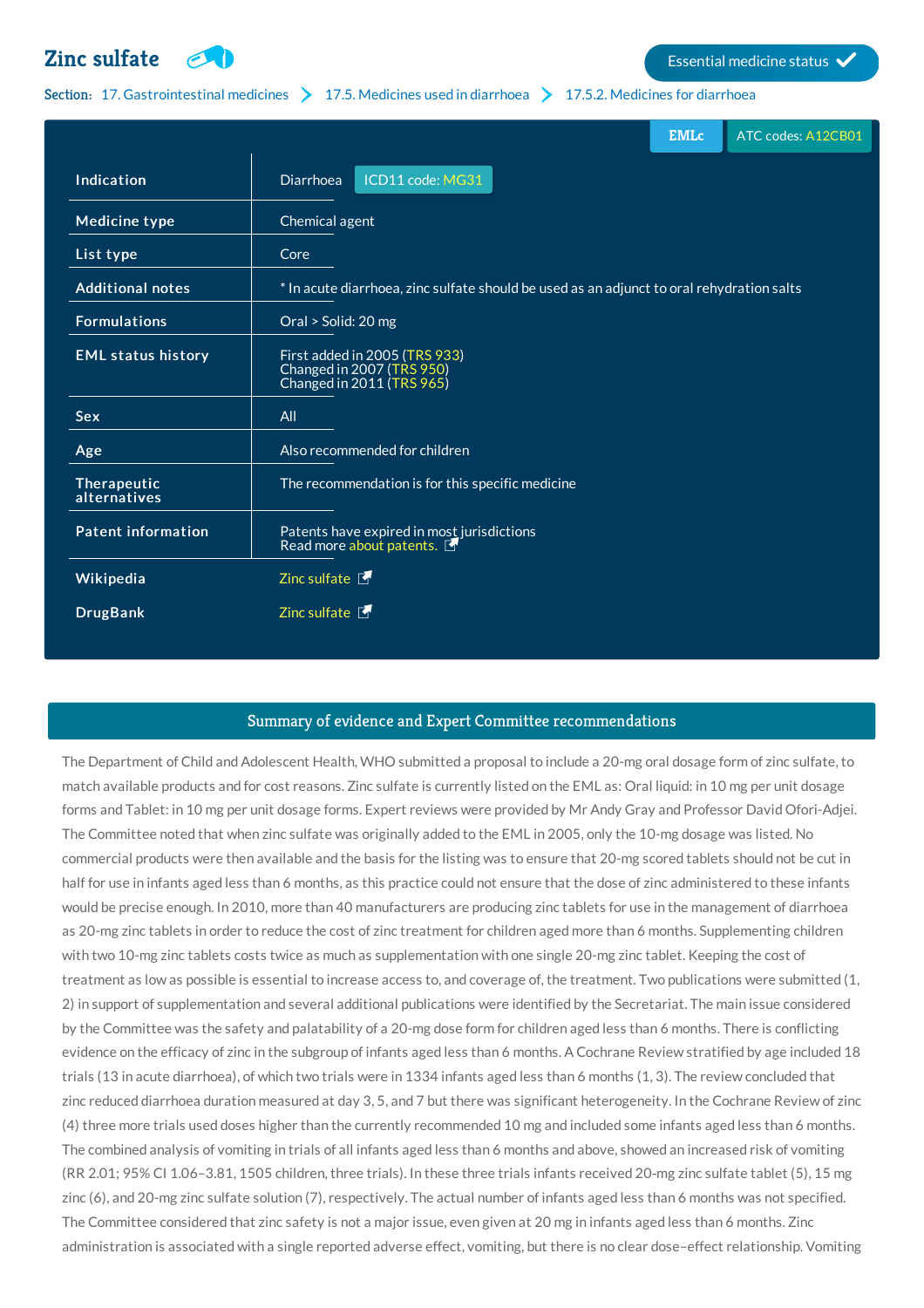## **Zinc** [sulfate](http://list.essentialmeds.org/medicines/181)  $\Box$



## Section: 17. [Gastrointestinal](http://list.essentialmeds.org/?section=411) medicines  $\sum$  17.5. [Medicines](http://list.essentialmeds.org/?section=418) used in diarrhoea  $\sum$  17.5.2. Medicines for diarrhoea

|                             |                                                                                           | <b>EMLc</b> | ATC codes: A12CB01 |
|-----------------------------|-------------------------------------------------------------------------------------------|-------------|--------------------|
| Indication                  | ICD11 code: MG31<br><b>Diarrhoea</b>                                                      |             |                    |
| <b>Medicine type</b>        | Chemical agent                                                                            |             |                    |
| List type                   | Core                                                                                      |             |                    |
| <b>Additional notes</b>     | * In acute diarrhoea, zinc sulfate should be used as an adjunct to oral rehydration salts |             |                    |
| <b>Formulations</b>         | Oral > Solid: 20 mg                                                                       |             |                    |
| <b>EML status history</b>   | First added in 2005 (TRS 933)<br>Changed in 2007 (TRS 950)<br>Changed in 2011 (TRS 965)   |             |                    |
| <b>Sex</b>                  | All                                                                                       |             |                    |
| Age                         | Also recommended for children                                                             |             |                    |
| Therapeutic<br>alternatives | The recommendation is for this specific medicine                                          |             |                    |
| <b>Patent information</b>   | Patents have expired in most jurisdictions<br>Read more about patents.                    |             |                    |
| Wikipedia                   | Zinc sulfate $\blacksquare$                                                               |             |                    |
| <b>DrugBank</b>             | Zinc sulfate $\blacksquare$                                                               |             |                    |

## Summary of evidence and Expert Committee recommendations

The Department of Child and Adolescent Health, WHO submitted a proposal to include a 20-mg oral dosage form of zinc sulfate, to match available products and for cost reasons. Zinc sulfate is currently listed on the EML as: Oral liquid: in 10 mg per unit dosage forms and Tablet: in 10 mg per unit dosage forms. Expert reviews were provided by Mr Andy Gray and Professor David Ofori-Adjei. The Committee noted that when zinc sulfate was originally added to the EML in 2005, only the 10-mg dosage was listed. No commercial products were then available and the basis for the listing was to ensure that 20-mg scored tablets should not be cut in half for use in infants aged less than 6 months, as this practice could not ensure that the dose of zinc administered to these infants would be precise enough. In 2010, more than 40 manufacturers are producing zinc tablets for use in the management of diarrhoea as 20-mg zinc tablets in order to reduce the cost of zinc treatment for children aged more than 6 months. Supplementing children with two 10-mg zinc tablets costs twice as much as supplementation with one single 20-mg zinc tablet. Keeping the cost of treatment as low as possible is essential to increase access to, and coverage of, the treatment. Two publications were submitted (1, 2) in support of supplementation and several additional publications were identified by the Secretariat. The main issue considered by the Committee was the safety and palatability of a 20-mg dose form for children aged less than 6 months. There is conflicting evidence on the efficacy of zinc in the subgroup of infants aged less than 6 months. A Cochrane Review stratified by age included 18 trials (13 in acute diarrhoea), of which two trials were in 1334 infants aged less than 6 months (1, 3). The review concluded that zinc reduced diarrhoea duration measured at day 3, 5, and 7 but there was significant heterogeneity. In the Cochrane Review of zinc (4) three more trials used doses higher than the currently recommended 10 mg and included some infants aged less than 6 months. The combined analysis of vomiting in trials of all infants aged less than 6 months and above, showed an increased risk of vomiting (RR 2.01; 95% CI 1.06–3.81, 1505 children, three trials). In these three trials infants received 20‑mg zinc sulfate tablet (5), 15 mg zinc (6), and 20-mg zinc sulfate solution (7), respectively. The actual number of infants aged less than 6 months was not specified. The Committee considered that zinc safety is not a major issue, even given at 20 mg in infants aged less than 6 months. Zinc administration is associated with a single reported adverse effect, vomiting, but there is no clear dose–effect relationship. Vomiting